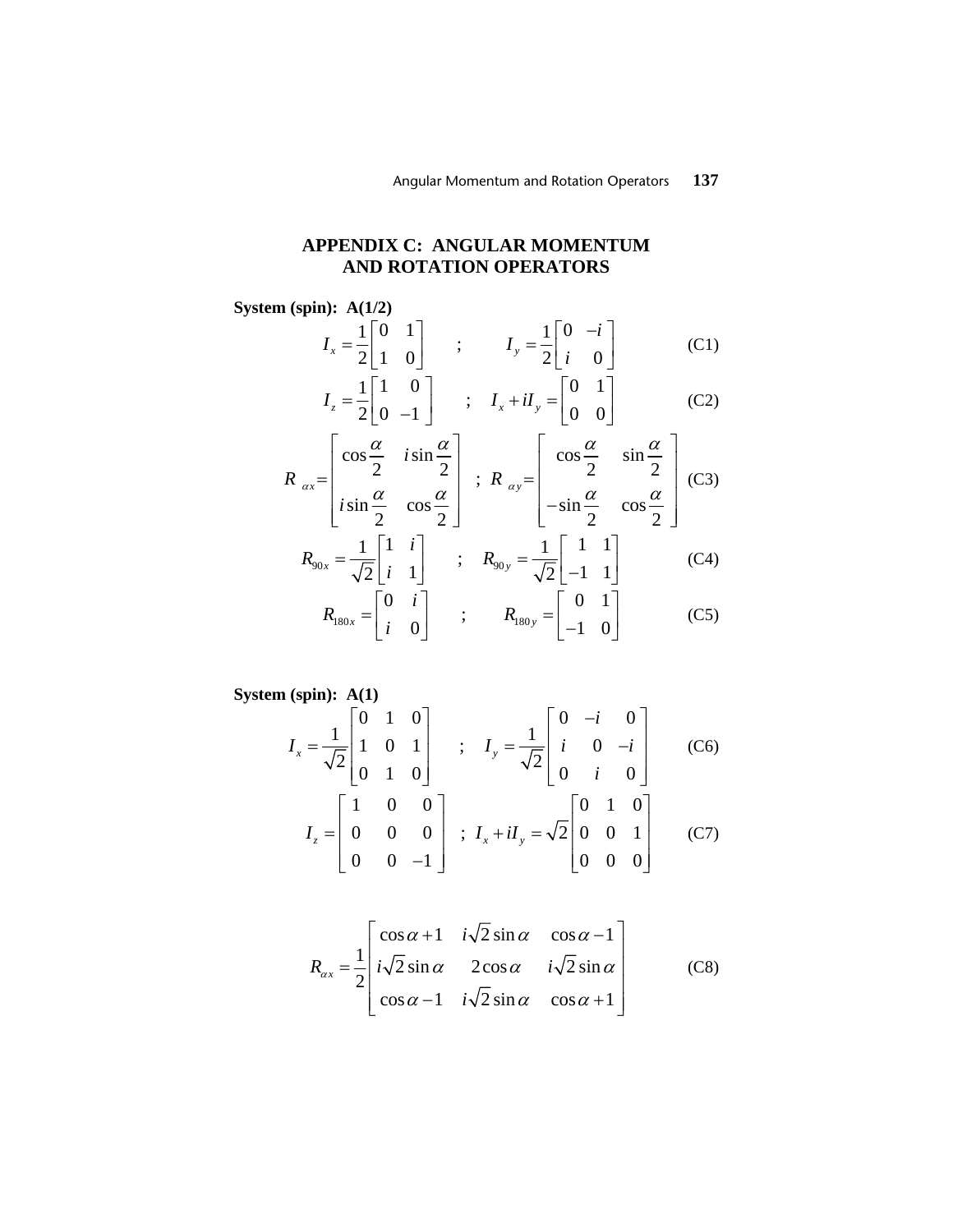## **APPENDIX C: ANGULAR MOMENTUM AND ROTATION OPERATORS**

**System (spin): A(1/2)**  $I_{\rm v} = \frac{1}{2} \begin{bmatrix} 0 & 1 \\ 1 & 0 \end{bmatrix}$  ;  $I_{\rm v} = \frac{1}{2} \begin{bmatrix} 0 \\ 0 \end{bmatrix}$  $I_x = \frac{1}{2} \begin{vmatrix} 0 & 1 \\ 1 & 0 \end{vmatrix}$  ;  $I_y = \frac{1}{2} \begin{vmatrix} 0 & 1 \\ i & 0 \end{vmatrix}$ *i*  $I_x = \frac{1}{2} \begin{bmatrix} 0 & 1 \\ 1 & 0 \end{bmatrix}$  ; *I*  $I_y = \frac{1}{2} \begin{bmatrix} 0 & 1 \\ 1 & 0 \end{bmatrix}$  ;  $I_y = \frac{1}{2} \begin{bmatrix} 0 & -i \\ i & 0 \end{bmatrix}$  $\overline{\phantom{a}}$ ⎦ (C1)  $I_z = \frac{1}{2} \begin{bmatrix} 1 & 0 \\ 0 & -1 \end{bmatrix}$  ;  $I_x + iI_y = \begin{bmatrix} 0 & 1 \\ 0 & 0 \end{bmatrix}$ ⎦ (C2)  $\cos \frac{\alpha}{2} i \sin \frac{\alpha}{2}$  |  $\cos \frac{\alpha}{2} \sin \frac{\alpha}{2}$ 2  $2 \left| \begin{array}{c} 2 \\ 2 \end{array} \right|$  ;  $R_{av} = \left| \begin{array}{c} 2 \\ 2 \end{array} \right|$  $\sin \frac{\alpha}{2} \cos \frac{\alpha}{2}$   $\vert -\sin \frac{\alpha}{2} \cos \frac{\alpha}{2} \vert$ 2  $2 \t 2 \t 2 \t 2 \t 2$ *x y i*  $R_{\alpha x} = \begin{vmatrix} 2 & 2 \\ 1 & 1 \end{vmatrix}$  ; R  $\begin{array}{c|c}\n a^{\alpha} & i \sin \frac{\alpha}{2} & \cos \frac{\alpha}{2}\n \end{array}$  $\alpha$   $\alpha$  and  $\alpha$  and  $\alpha$  and  $\alpha$  $\alpha$   $\alpha$  and  $\alpha$  $=\begin{bmatrix} \cos\frac{\alpha}{2} & i\sin\frac{\alpha}{2} \\ i\sin\frac{\alpha}{2} & \cos\frac{\alpha}{2} \end{bmatrix}$ ;  $R_{\alpha y} = \begin{bmatrix} 1 & 0 & 0 \\ 0 & 1 & 0 \\ 0 & 1 & 0 \end{bmatrix}$ α  $\overline{\phantom{a}}$  $\overline{\phantom{a}}$  $\overline{\phantom{a}}$  $\overline{\phantom{a}}$ ⎥⎦ (C3)  $R_{90x} = \frac{1}{\sqrt{2}} \begin{vmatrix} 1 & 1 \end{vmatrix}$  ;  $R_{90x}$  $R_{y_0} = \frac{1}{\sqrt{2}} \begin{bmatrix} 1 & i \\ i & 1 \end{bmatrix}$  ;  $R_{y_0} = \frac{1}{\sqrt{2}} \begin{bmatrix} 1 & 1 \\ -1 & 1 \end{bmatrix}$ *i*  $R_{90x} = \frac{1}{\sqrt{2}} \begin{bmatrix} 1 & 1 \\ 1 & 1 \end{bmatrix}$  ; R  $=\frac{1}{\sqrt{2}}\begin{bmatrix}1 & i \\ i & 1\end{bmatrix}$  ;  $R_{90y} = \frac{1}{\sqrt{2}}\begin{bmatrix}1 & 1 \\ -1 & 1\end{bmatrix}$ 1  $\overline{\phantom{a}}$  $\overline{\phantom{a}}$ ⎦ 1  $=\begin{vmatrix} 0 & 1 \\ -1 & 0 \end{vmatrix}$ ⎦ (C4)  $R_{180x} = \begin{vmatrix} 1 & 1 \ 1 & 0 \end{vmatrix}$  ;  $R_{180y} = \begin{vmatrix} 1 & 0 \ 1 & 0 \end{vmatrix}$  (C5)  $\begin{bmatrix} 0 & i \end{bmatrix}$   $\begin{bmatrix} 0 & 0 \end{bmatrix}$  $R_{180y} = \begin{vmatrix} 0 & 1 \\ i & 0 \end{vmatrix}$  ;  $R_{180y} = \begin{vmatrix} 0 & 0 \\ -1 & 0 \end{vmatrix}$ *i*  $R_{180x} = \begin{bmatrix} 0 & 1 \\ 0 & 0 \end{bmatrix}$  ; R  $=\begin{bmatrix} 0 & i \\ i & 0 \end{bmatrix}$  ;  $R_{180y} = \begin{bmatrix} 0 & i \\ -i & 0 \end{bmatrix}$ 

**System (spin): A(1)** 

$$
I_x = \frac{1}{\sqrt{2}} \begin{bmatrix} 0 & 1 & 0 \\ 1 & 0 & 1 \\ 0 & 1 & 0 \end{bmatrix} ; I_y = \frac{1}{\sqrt{2}} \begin{bmatrix} 0 & -i & 0 \\ i & 0 & -i \\ 0 & i & 0 \end{bmatrix}
$$
 (C6)  

$$
I_z = \begin{bmatrix} 1 & 0 & 0 \\ 0 & 0 & 0 \\ 0 & 0 & -1 \end{bmatrix} ; I_x + iI_y = \sqrt{2} \begin{bmatrix} 0 & 1 & 0 \\ 0 & 0 & 1 \\ 0 & 0 & 0 \end{bmatrix}
$$
 (C7)

$$
R_{\alpha x} = \frac{1}{2} \begin{bmatrix} \cos \alpha + 1 & i\sqrt{2} \sin \alpha & \cos \alpha - 1 \\ i\sqrt{2} \sin \alpha & 2 \cos \alpha & i\sqrt{2} \sin \alpha \\ \cos \alpha - 1 & i\sqrt{2} \sin \alpha & \cos \alpha + 1 \end{bmatrix}
$$
(C8)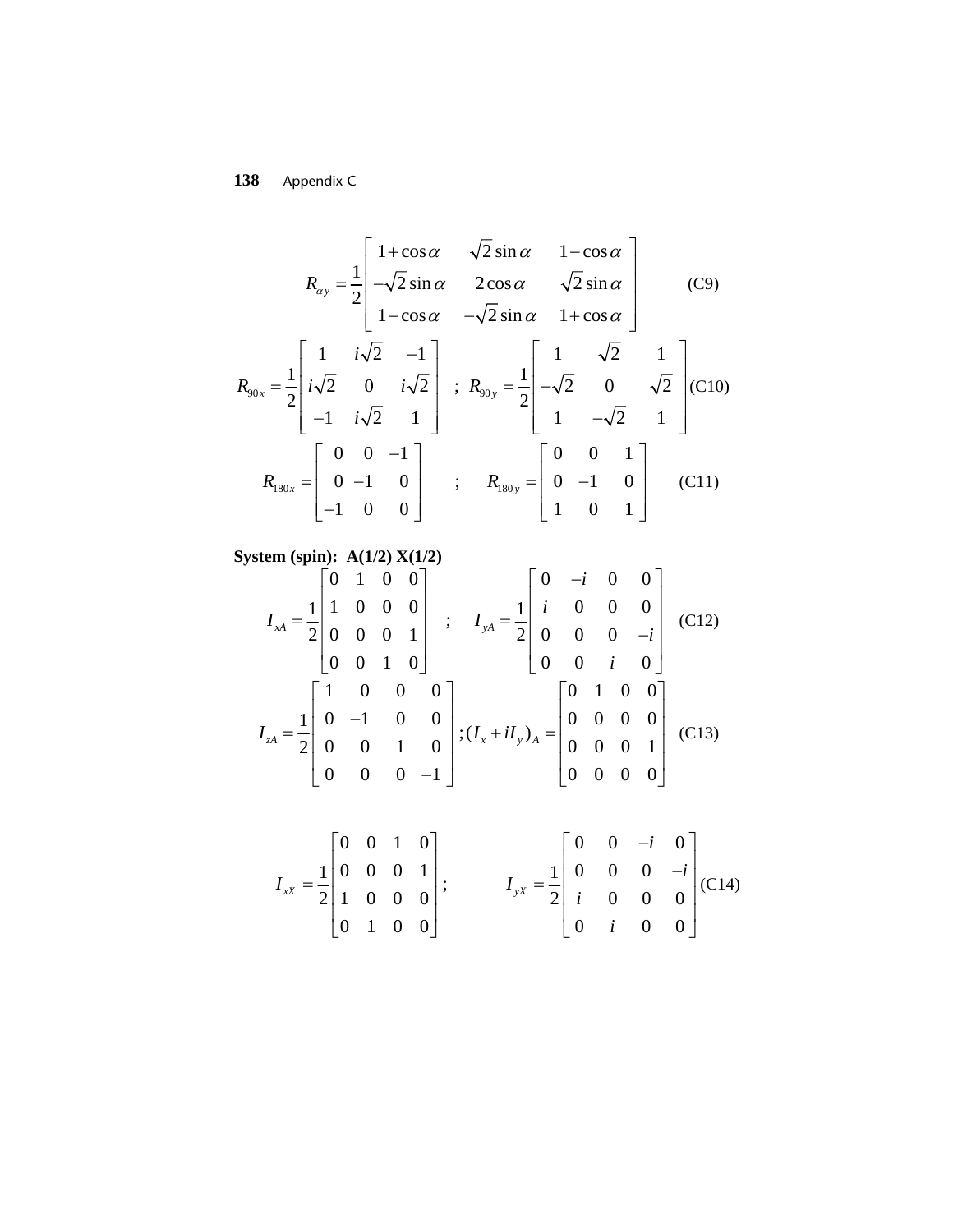$$
R_{\alpha y} = \frac{1}{2} \begin{bmatrix} 1 + \cos \alpha & \sqrt{2} \sin \alpha & 1 - \cos \alpha \\ -\sqrt{2} \sin \alpha & 2 \cos \alpha & \sqrt{2} \sin \alpha \\ 1 - \cos \alpha & -\sqrt{2} \sin \alpha & 1 + \cos \alpha \end{bmatrix}
$$
(C9)  

$$
R_{90x} = \frac{1}{2} \begin{bmatrix} 1 & i\sqrt{2} & -1 \\ i\sqrt{2} & 0 & i\sqrt{2} \\ -1 & i\sqrt{2} & 1 \end{bmatrix} ; R_{90y} = \frac{1}{2} \begin{bmatrix} 1 & \sqrt{2} & 1 \\ -\sqrt{2} & 0 & \sqrt{2} \\ 1 & -\sqrt{2} & 1 \end{bmatrix}
$$
(C10)  

$$
R_{180x} = \begin{bmatrix} 0 & 0 & -1 \\ 0 & -1 & 0 \\ -1 & 0 & 0 \end{bmatrix} ; R_{180y} = \begin{bmatrix} 0 & 0 & 1 \\ 0 & -1 & 0 \\ 1 & 0 & 1 \end{bmatrix}
$$
(C11)

**System (spin): A(1/2) X(1/2)** 

$$
I_{xA} = \frac{1}{2} \begin{bmatrix} 0 & 1 & 0 & 0 \\ 1 & 0 & 0 & 0 \\ 0 & 0 & 0 & 1 \\ 0 & 0 & 1 & 0 \end{bmatrix} ; I_{yA} = \frac{1}{2} \begin{bmatrix} 0 & -i & 0 & 0 \\ i & 0 & 0 & 0 \\ 0 & 0 & 0 & -i \\ 0 & 0 & i & 0 \end{bmatrix}
$$
 (C12)  

$$
I_{zA} = \frac{1}{2} \begin{bmatrix} 1 & 0 & 0 & 0 \\ 0 & -1 & 0 & 0 \\ 0 & 0 & 1 & 0 \\ 0 & 0 & 0 & -1 \end{bmatrix} ; (I_x + iI_y)_A = \begin{bmatrix} 0 & 1 & 0 & 0 \\ 0 & 0 & 0 & 0 \\ 0 & 0 & 0 & 1 \\ 0 & 0 & 0 & 0 \end{bmatrix}
$$
 (C13)

$$
I_{xx} = \frac{1}{2} \begin{bmatrix} 0 & 0 & 1 & 0 \\ 0 & 0 & 0 & 1 \\ 1 & 0 & 0 & 0 \\ 0 & 1 & 0 & 0 \end{bmatrix}; \qquad I_{yx} = \frac{1}{2} \begin{bmatrix} 0 & 0 & -i & 0 \\ 0 & 0 & 0 & -i \\ i & 0 & 0 & 0 \\ 0 & i & 0 & 0 \end{bmatrix} (C14)
$$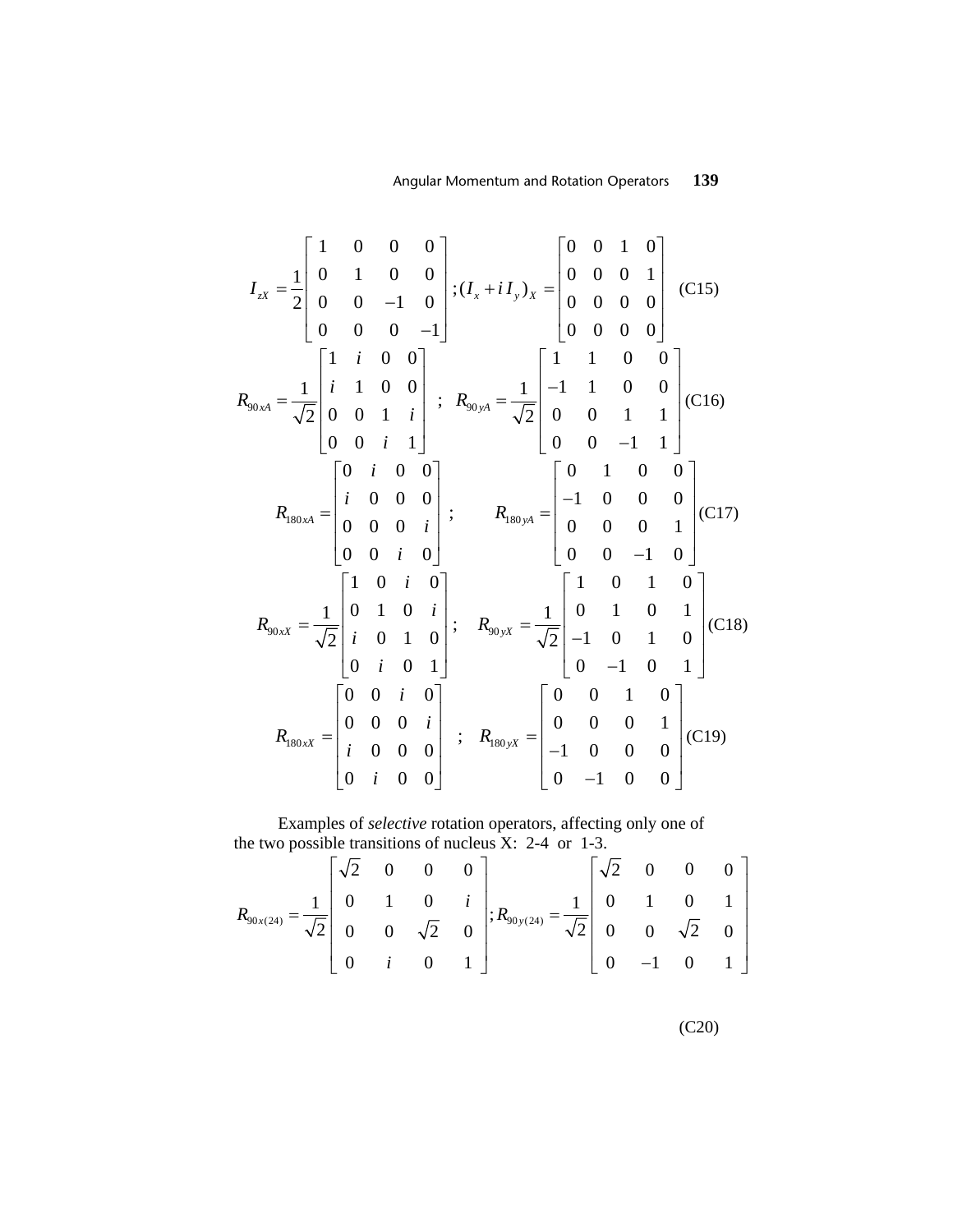$$
I_{xx} = \frac{1}{2} \begin{bmatrix} 1 & 0 & 0 & 0 \\ 0 & 1 & 0 & 0 \\ 0 & 0 & -1 & 0 \\ 0 & 0 & 0 & -1 \end{bmatrix}; (I_x + iI_y)_x = \begin{bmatrix} 0 & 0 & 1 & 0 \\ 0 & 0 & 0 & 1 \\ 0 & 0 & 0 & 0 \\ 0 & 0 & 0 & 0 \end{bmatrix}
$$
 (C15)  
\n
$$
R_{90xA} = \frac{1}{\sqrt{2}} \begin{bmatrix} 1 & i & 0 & 0 \\ i & 1 & 0 & 0 \\ 0 & 0 & 1 & i \\ 0 & 0 & i & 1 \end{bmatrix}; R_{90yA} = \frac{1}{\sqrt{2}} \begin{bmatrix} 1 & 1 & 0 & 0 \\ -1 & 1 & 0 & 0 \\ 0 & 0 & 1 & 1 \\ 0 & 0 & -1 & 1 \end{bmatrix}
$$
 (C16)  
\n
$$
R_{180xA} = \begin{bmatrix} 0 & i & 0 & 0 \\ i & 0 & 0 & 0 \\ 0 & 0 & 0 & i \\ 0 & 0 & i & 0 \end{bmatrix}; R_{180yA} = \begin{bmatrix} 0 & 1 & 0 & 0 \\ -1 & 0 & 0 & 0 \\ 0 & 0 & 0 & 1 \\ 0 & 0 & -1 & 0 \end{bmatrix}
$$
 (C17)  
\n
$$
R_{90xx} = \frac{1}{\sqrt{2}} \begin{bmatrix} 1 & 0 & i & 0 \\ 0 & 1 & 0 & i \\ i & 0 & 1 & 0 \\ 0 & i & 0 & 1 \end{bmatrix}; R_{90yx} = \frac{1}{\sqrt{2}} \begin{bmatrix} 1 & 0 & 1 & 0 \\ 0 & 1 & 0 & 1 \\ -1 & 0 & 1 & 0 \\ 0 & -1 & 0 & 1 \end{bmatrix}
$$
 (C18)  
\n
$$
R_{180xx} = \begin{bmatrix} 0 & 0 & i & 0 \\ 0 & 0 & 0 & i \\ i & 0 & 0 & 0 \\ 0 & i & 0 & 0 \end{bmatrix}; R_{180yx} = \begin{bmatrix} 0 & 0 & 1 & 0 \\ 0 & 0 & 0 & 1 \\ -1 & 0 & 0 & 0 \\ 0 & -1 & 0 & 0 \end{
$$

 Examples of *selective* rotation operators, affecting only one of the two possible transitions of nucleus X: 2-4 or 1-3.

$$
R_{90x(24)} = \frac{1}{\sqrt{2}} \begin{bmatrix} \sqrt{2} & 0 & 0 & 0 \\ 0 & 1 & 0 & i \\ 0 & 0 & \sqrt{2} & 0 \\ 0 & i & 0 & 1 \end{bmatrix}; R_{90y(24)} = \frac{1}{\sqrt{2}} \begin{bmatrix} \sqrt{2} & 0 & 0 & 0 \\ 0 & 1 & 0 & 1 \\ 0 & 0 & \sqrt{2} & 0 \\ 0 & -1 & 0 & 1 \end{bmatrix}
$$

(C20)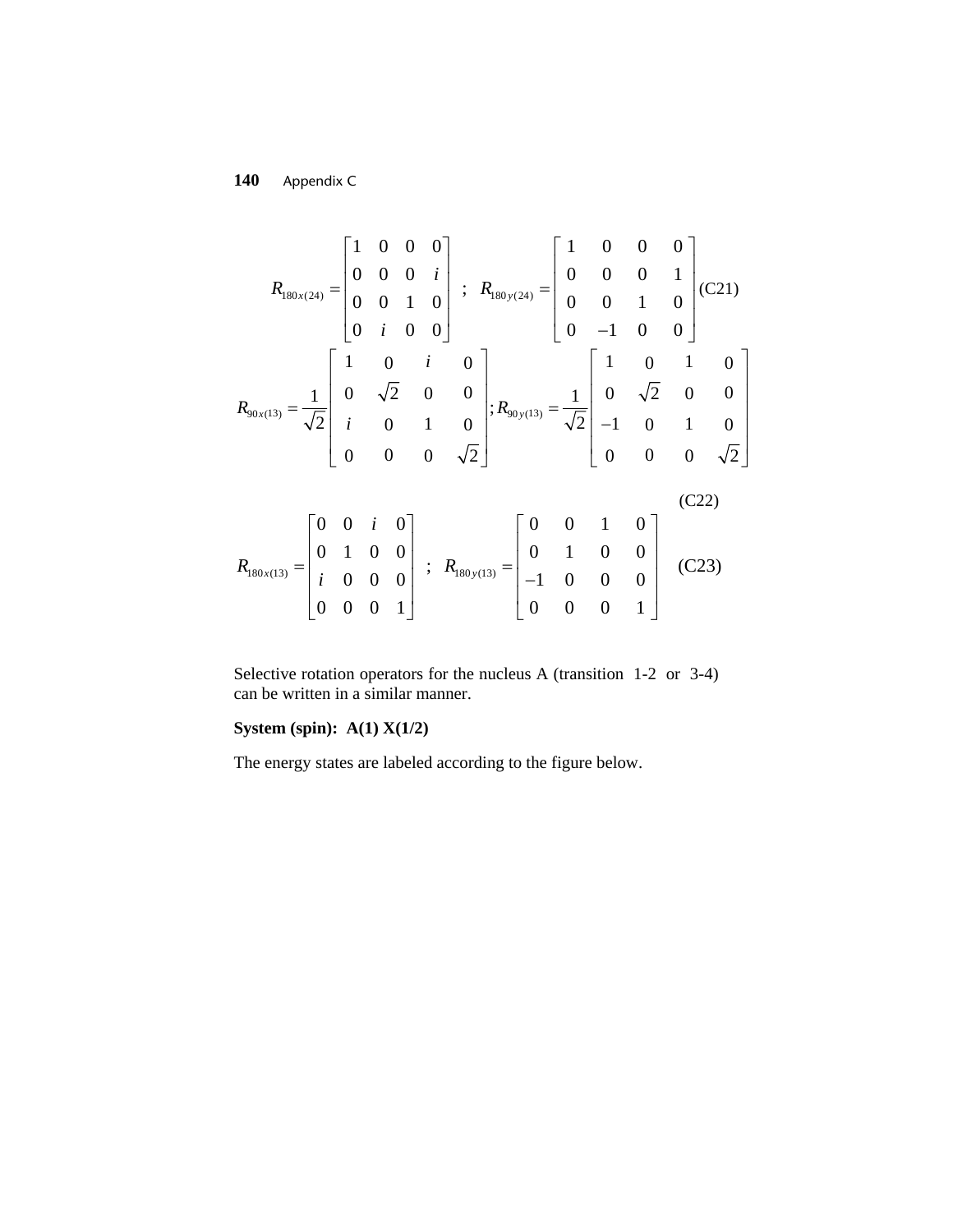$$
R_{180x(24)} = \begin{bmatrix} 1 & 0 & 0 & 0 \\ 0 & 0 & 0 & i \\ 0 & 0 & 1 & 0 \\ 0 & i & 0 & 0 \end{bmatrix} ; R_{180y(24)} = \begin{bmatrix} 1 & 0 & 0 & 0 \\ 0 & 0 & 0 & 1 \\ 0 & 0 & 1 & 0 \\ 0 & -1 & 0 & 0 \end{bmatrix} (C21)
$$
  
\n
$$
R_{90x(13)} = \frac{1}{\sqrt{2}} \begin{bmatrix} 1 & 0 & i & 0 \\ 0 & \sqrt{2} & 0 & 0 \\ i & 0 & 1 & 0 \\ 0 & 0 & 0 & \sqrt{2} \end{bmatrix} ; R_{90y(13)} = \frac{1}{\sqrt{2}} \begin{bmatrix} 1 & 0 & 1 & 0 \\ 0 & \sqrt{2} & 0 & 0 \\ -1 & 0 & 1 & 0 \\ 0 & 0 & 0 & \sqrt{2} \end{bmatrix}
$$
  
\n
$$
R_{180x(13)} = \begin{bmatrix} 0 & 0 & i & 0 \\ 0 & 1 & 0 & 0 \\ i & 0 & 0 & 0 \\ 0 & 0 & 0 & 1 \end{bmatrix} ; R_{180y(13)} = \begin{bmatrix} 0 & 0 & 1 & 0 \\ 0 & 1 & 0 & 0 \\ -1 & 0 & 0 & 0 \\ 0 & 0 & 0 & 1 \end{bmatrix} \quad (C22)
$$

Selective rotation operators for the nucleus A (transition 1-2 or 3-4) can be written in a similar manner.

## **System (spin): A(1) X(1/2)**

The energy states are labeled according to the figure below.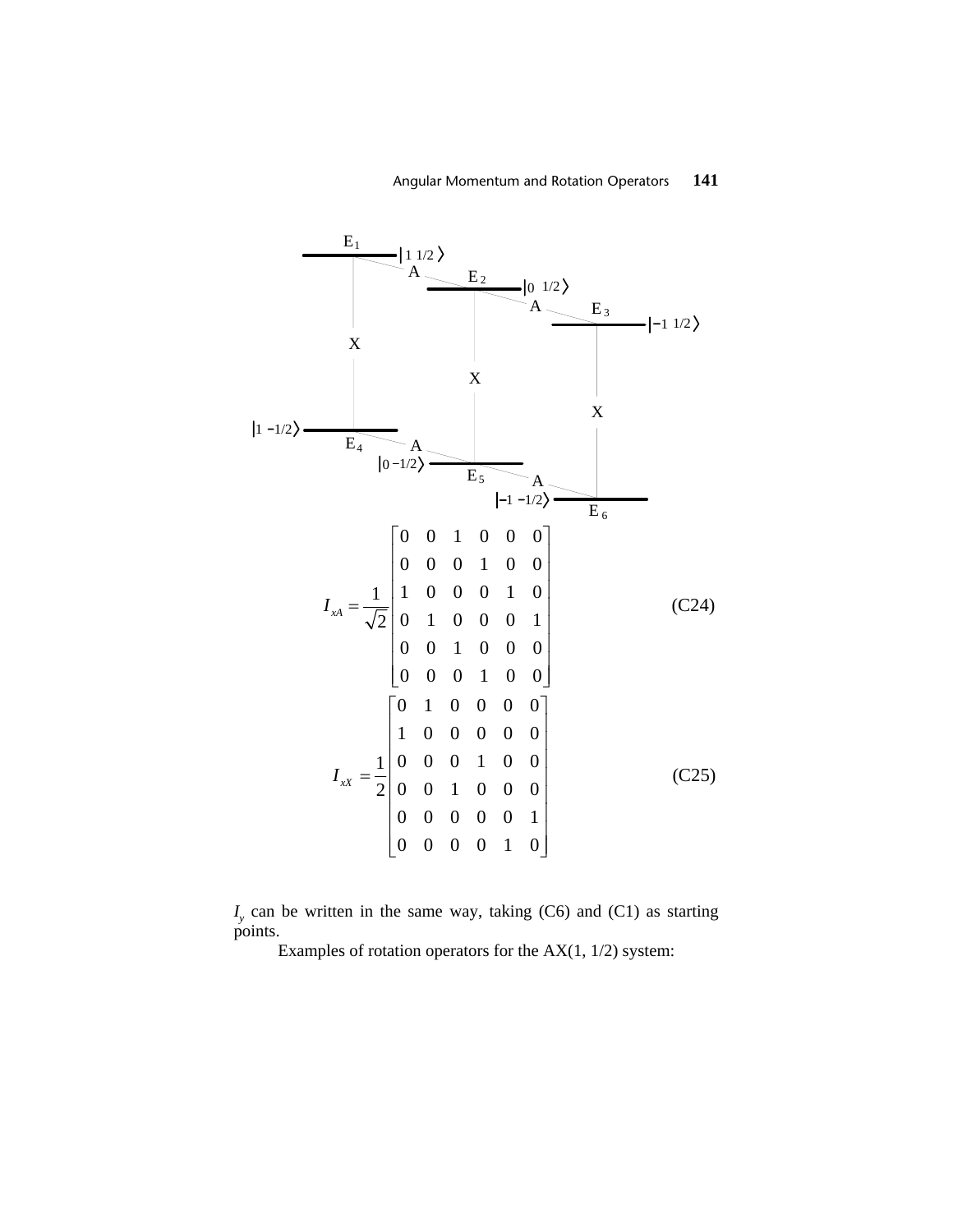

 $I<sub>y</sub>$  can be written in the same way, taking (C6) and (C1) as starting points.

Examples of rotation operators for the  $AX(1, 1/2)$  system: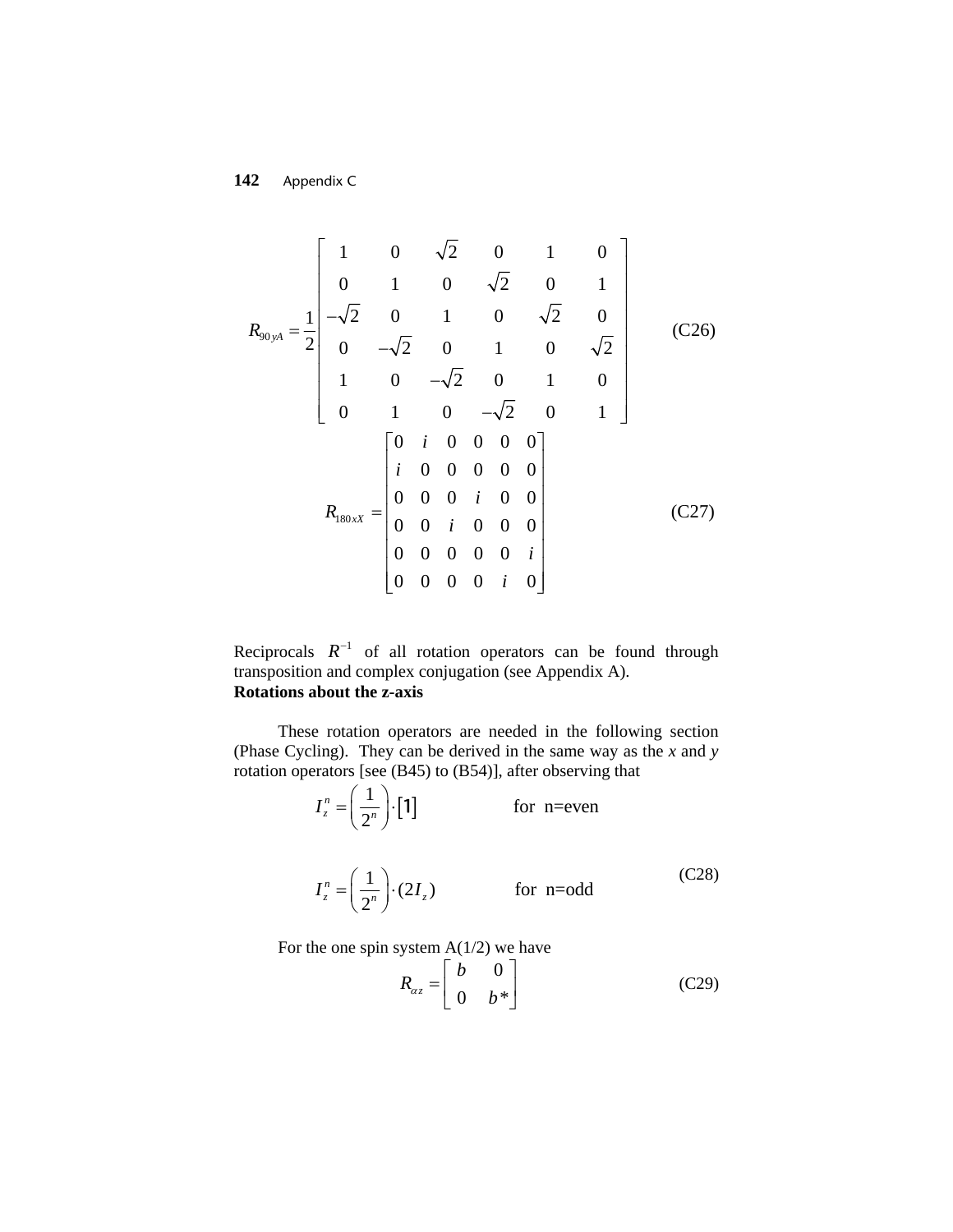$$
R_{90yA} = \frac{1}{2} \begin{bmatrix} 1 & 0 & \sqrt{2} & 0 & 1 & 0 \\ 0 & 1 & 0 & \sqrt{2} & 0 & 1 \\ -\sqrt{2} & 0 & 1 & 0 & \sqrt{2} & 0 \\ 0 & -\sqrt{2} & 0 & 1 & 0 & \sqrt{2} \\ 1 & 0 & -\sqrt{2} & 0 & 1 & 0 \\ 0 & 1 & 0 & -\sqrt{2} & 0 & 1 \end{bmatrix}
$$
 (C26)  
\n
$$
R_{180xX} = \begin{bmatrix} 0 & i & 0 & 0 & 0 & 0 \\ 0 & 0 & 0 & i & 0 & 0 \\ 0 & 0 & 0 & i & 0 & 0 \\ 0 & 0 & i & 0 & 0 & 0 \\ 0 & 0 & 0 & 0 & 0 & i \\ 0 & 0 & 0 & 0 & 0 & i \\ 0 & 0 & 0 & 0 & 0 & i \end{bmatrix}
$$
 (C27)

Reciprocals  $R^{-1}$  of all rotation operators can be found through transposition and complex conjugation (see Appendix A). **Rotations about the z-axis** 

These rotation operators are needed in the following section (Phase Cycling). They can be derived in the same way as the *x* and *y* rotation operators [see (B45) to (B54)], after observing that

> for  $n$ =even 2  $\frac{1}{2}$  (2*I<sub>z</sub>*) for n=odd 2 *n*  $I_z^n = \left(\frac{1}{2^n}\right) \cdot [1]$ *n*  $I_z^n = \left(\frac{1}{2^n}\right) \cdot (2I_z)$ (C28)

For the one spin system  $A(1/2)$  we have

$$
R_{\alpha z} = \begin{bmatrix} b & 0 \\ 0 & b^* \end{bmatrix}
$$
 (C29)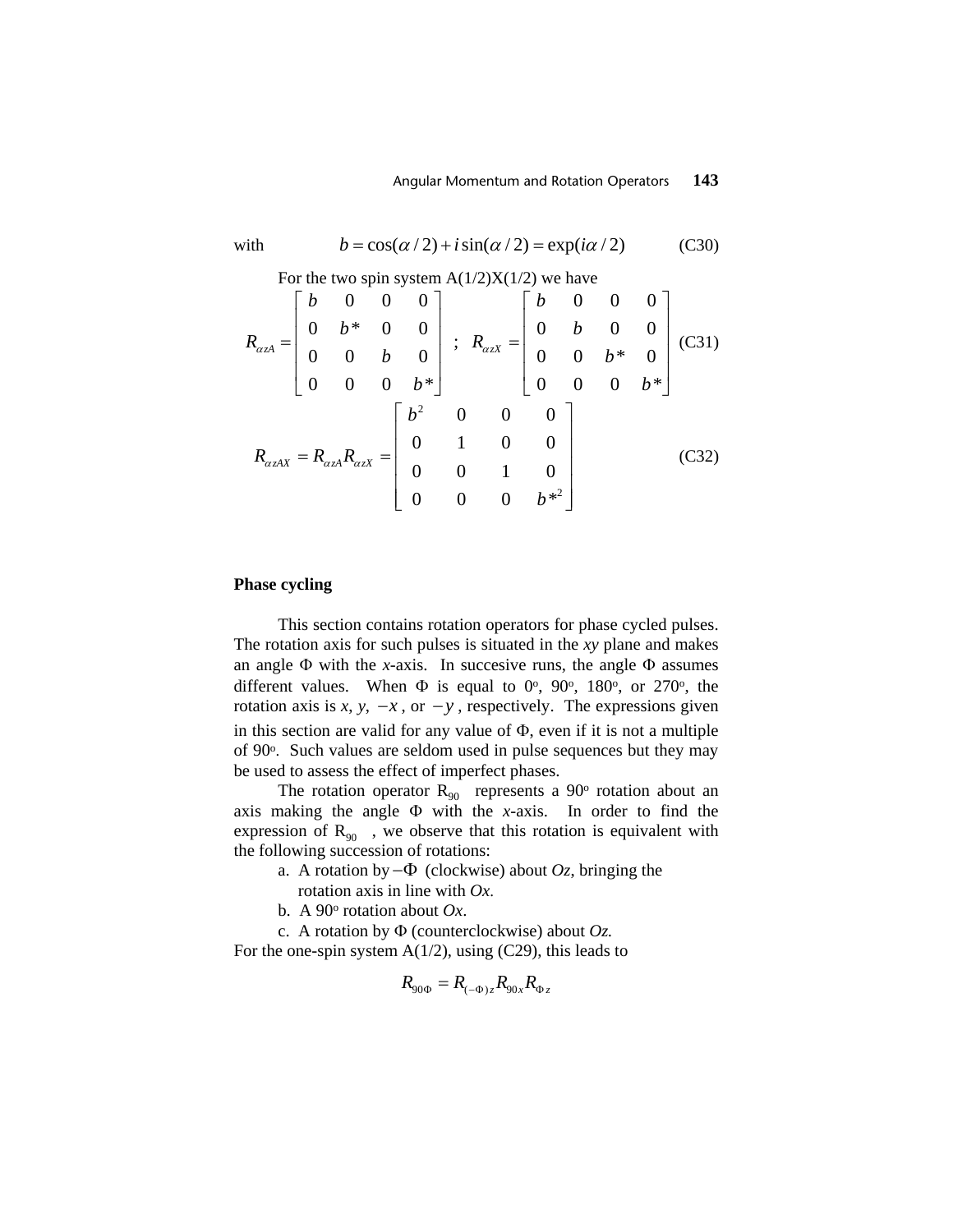with 
$$
b = cos(\alpha/2) + i sin(\alpha/2) = exp(i\alpha/2)
$$
 (C30)  
\nFor the two spin system A(1/2)X(1/2) we have  
\n
$$
R_{\alpha zA} = \begin{bmatrix} b & 0 & 0 & 0 \\ 0 & b^* & 0 & 0 \\ 0 & 0 & b & 0 \\ 0 & 0 & 0 & b^* \end{bmatrix} ; R_{\alpha zX} = \begin{bmatrix} b & 0 & 0 & 0 \\ 0 & b & 0 & 0 \\ 0 & 0 & b^* & 0 \\ 0 & 0 & 0 & b^* \end{bmatrix}
$$
 (C31)  
\n
$$
R_{\alpha zAX} = R_{\alpha zA}R_{\alpha zX} = \begin{bmatrix} b^2 & 0 & 0 & 0 \\ 0 & 1 & 0 & 0 \\ 0 & 0 & 1 & 0 \\ 0 & 0 & 0 & b^* \end{bmatrix}
$$
 (C32)

## **Phase cycling**

This section contains rotation operators for phase cycled pulses. The rotation axis for such pulses is situated in the *xy* plane and makes an angle Φ with the *x*-axis. In succesive runs, the angle Φ assumes different values. When  $\Phi$  is equal to 0<sup>o</sup>, 90<sup>o</sup>, 180<sup>o</sup>, or 270<sup>o</sup>, the rotation axis is *x*, *y*,  $-x$ , or  $-y$ , respectively. The expressions given in this section are valid for any value of  $\Phi$ , even if it is not a multiple of 90o. Such values are seldom used in pulse sequences but they may be used to assess the effect of imperfect phases.

The rotation operator  $R_{90}$  represents a 90° rotation about an axis making the angle Φ with the *x*-axis. In order to find the expression of  $R_{90}$ , we observe that this rotation is equivalent with the following succession of rotations:

- a. A rotation by −Φ (clockwise) about *Oz*, bringing the rotation axis in line with *Ox*.
- b. A 90 $\circ$  rotation about *Ox*.

c. A rotation by Φ (counterclockwise) about *Oz.* 

For the one-spin system  $A(1/2)$ , using (C29), this leads to

$$
R_{90\Phi} = R_{(-\Phi)z} R_{90x} R_{\Phi z}
$$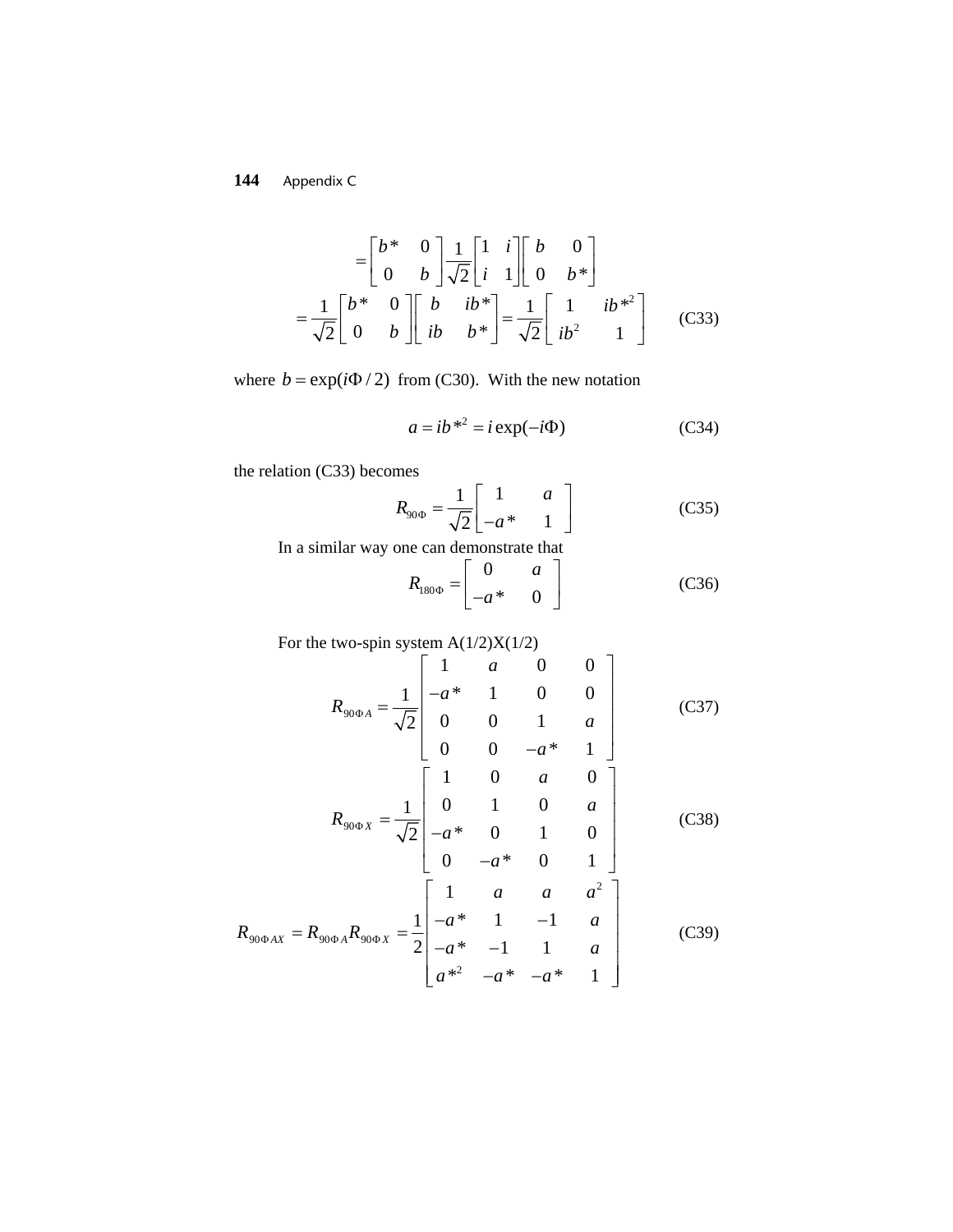$$
= \begin{bmatrix} b^* & 0 \\ 0 & b \end{bmatrix} \frac{1}{\sqrt{2}} \begin{bmatrix} 1 & i \\ i & 1 \end{bmatrix} \begin{bmatrix} b & 0 \\ 0 & b^* \end{bmatrix}
$$

$$
= \frac{1}{\sqrt{2}} \begin{bmatrix} b^* & 0 \\ 0 & b \end{bmatrix} \begin{bmatrix} b & ib^* \\ ib & b^* \end{bmatrix} = \frac{1}{\sqrt{2}} \begin{bmatrix} 1 & ib^{*2} \\ ib^2 & 1 \end{bmatrix}
$$
(C33)

where  $b = \exp(i\Phi/2)$  from (C30). With the new notation

$$
a = ib^{*2} = i \exp(-i\Phi)
$$
 (C34)

the relation (C33) becomes

$$
R_{90\Phi} = \frac{1}{\sqrt{2}} \begin{bmatrix} 1 & a \\ -a^* & 1 \end{bmatrix}
$$
 (C35)

In a similar way one can demonstrate that

$$
R_{180\Phi} = \begin{bmatrix} 0 & a \\ -a^* & 0 \end{bmatrix}
$$
 (C36)

For the two-spin system  $A(1/2)X(1/2)$ 

$$
R_{90\Phi A} = \frac{1}{\sqrt{2}} \begin{bmatrix} 1 & a & 0 & 0 \\ -a^* & 1 & 0 & 0 \\ 0 & 0 & 1 & a \\ 0 & 0 & -a^* & 1 \end{bmatrix}
$$
 (C37)  
\n
$$
R_{90\Phi X} = \frac{1}{\sqrt{2}} \begin{bmatrix} 1 & 0 & a & 0 \\ 0 & 1 & 0 & a \\ -a^* & 0 & 1 & 0 \\ 0 & -a^* & 0 & 1 \end{bmatrix}
$$
 (C38)  
\n
$$
R_{90\Phi A X} = R_{90\Phi A} R_{90\Phi X} = \frac{1}{2} \begin{bmatrix} 1 & a & a & a^2 \\ -a^* & 1 & -1 & a \\ -a^* & 1 & -1 & a \\ -a^* & -1 & 1 & a \\ a^{*2} & -a^* & -a^* & 1 \end{bmatrix}
$$
 (C39)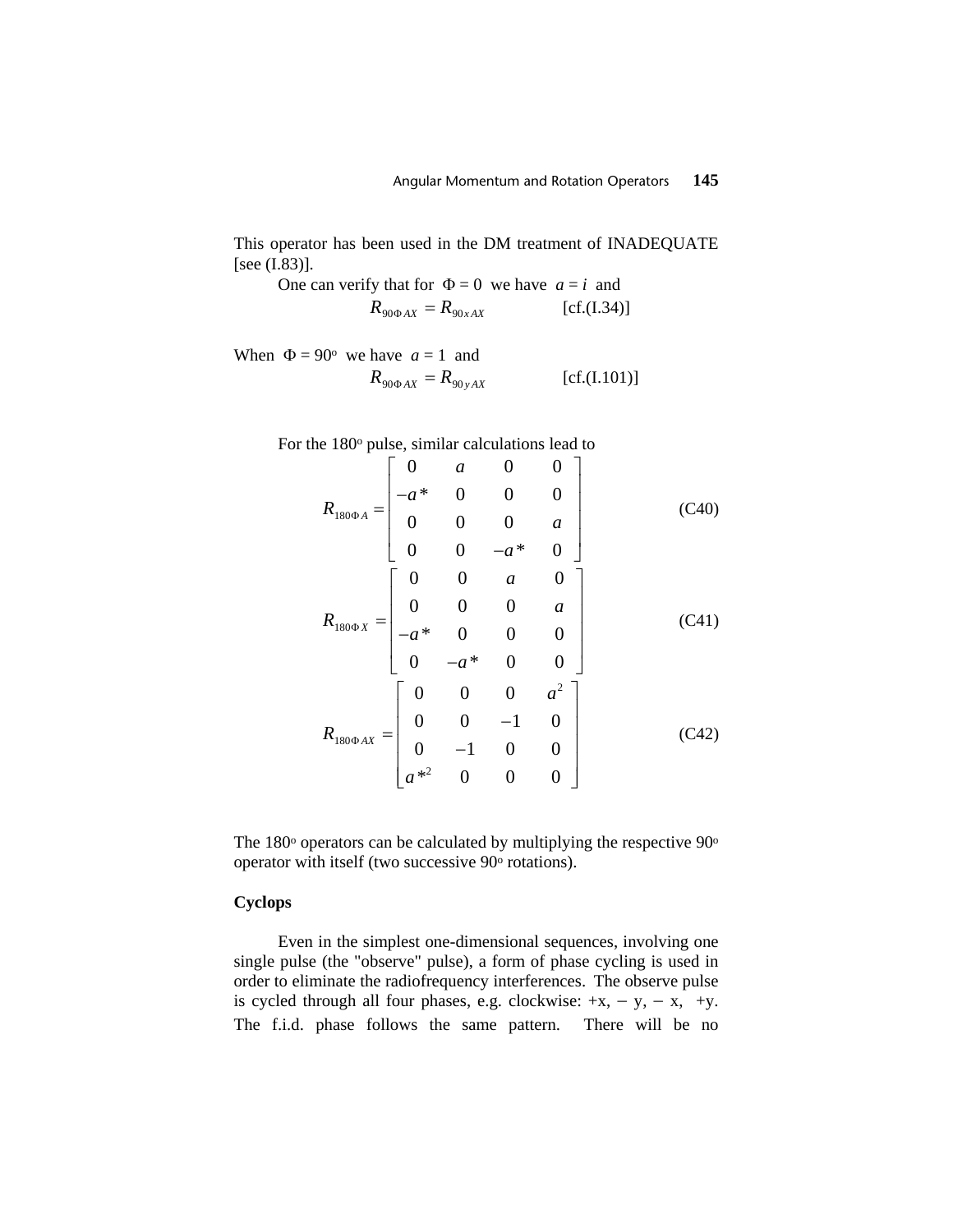This operator has been used in the DM treatment of INADEQUATE [see (I.83)].

One can verify that for  $\Phi = 0$  we have  $a = i$  and  $R_{90\Phi A X} = R_{90xAX}$  [cf.(I.34)]

When  $\Phi = 90^{\circ}$  we have  $a = 1$  and  $R_{90\Phi AX} = R_{90\gamma AX}$  [cf.(I.101)]

For the 180 $^{\circ}$  pulse, similar calculations lead to

$$
R_{180\Phi A} = \begin{bmatrix} 0 & a & 0 & 0 \\ -a^* & 0 & 0 & 0 \\ 0 & 0 & 0 & a \\ 0 & 0 & -a^* & 0 \end{bmatrix}
$$
 (C40)  

$$
R_{180\Phi X} = \begin{bmatrix} 0 & 0 & a & 0 \\ 0 & 0 & 0 & a \\ -a^* & 0 & 0 & 0 \\ 0 & -a^* & 0 & 0 \end{bmatrix}
$$
 (C41)  

$$
R_{180\Phi AX} = \begin{bmatrix} 0 & 0 & 0 & a^2 \\ 0 & 0 & -1 & 0 \\ 0 & -1 & 0 & 0 \\ a^{*2} & 0 & 0 & 0 \end{bmatrix}
$$
 (C42)

The  $180^\circ$  operators can be calculated by multiplying the respective  $90^\circ$ operator with itself (two successive 90<sup>o</sup> rotations).

## **Cyclops**

Even in the simplest one-dimensional sequences, involving one single pulse (the "observe" pulse), a form of phase cycling is used in order to eliminate the radiofrequency interferences. The observe pulse is cycled through all four phases, e.g. clockwise:  $+x$ ,  $-y$ ,  $-x$ ,  $+y$ . The f.i.d. phase follows the same pattern. There will be no